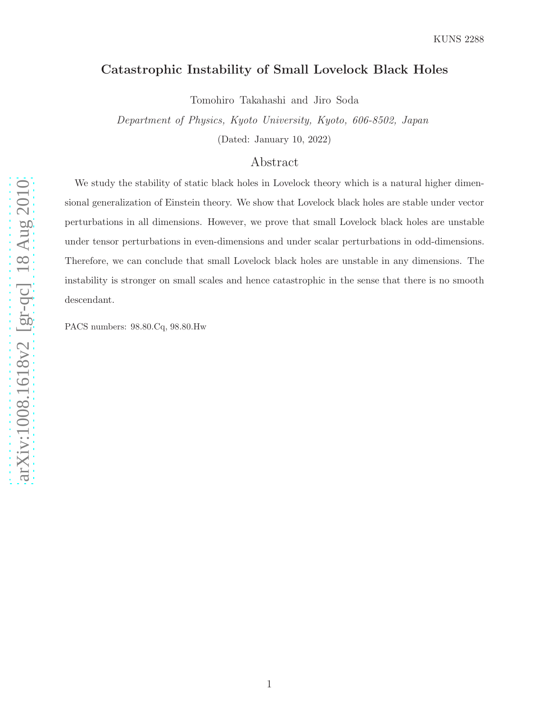# Catastrophic Instability of Small Lovelock Black Holes

Tomohiro Takahashi and Jiro Soda

Department of Physics, Kyoto University, Kyoto, 606-8502, Japan

(Dated: January 10, 2022)

## Abstract

We study the stability of static black holes in Lovelock theory which is a natural higher dimensional generalization of Einstein theory. We show that Lovelock black holes are stable under vector perturbations in all dimensions. However, we prove that small Lovelock black holes are unstable under tensor perturbations in even-dimensions and under scalar perturbations in odd-dimensions. Therefore, we can conclude that small Lovelock black holes are unstable in any dimensions. The instability is stronger on small scales and hence catastrophic in the sense that there is no smooth descendant.

PACS numbers: 98.80.Cq, 98.80.Hw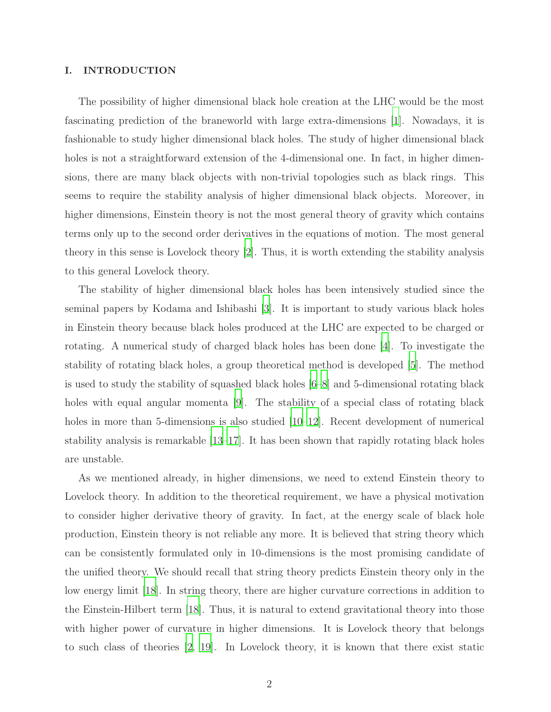### I. INTRODUCTION

The possibility of higher dimensional black hole creation at the LHC would be the most fascinating prediction of the braneworld with large extra-dimensions [\[1](#page-20-0)]. Nowadays, it is fashionable to study higher dimensional black holes. The study of higher dimensional black holes is not a straightforward extension of the 4-dimensional one. In fact, in higher dimensions, there are many black objects with non-trivial topologies such as black rings. This seems to require the stability analysis of higher dimensional black objects. Moreover, in higher dimensions, Einstein theory is not the most general theory of gravity which contains terms only up to the second order derivatives in the equations of motion. The most general theory in this sense is Lovelock theory [\[2](#page-20-1)]. Thus, it is worth extending the stability analysis to this general Lovelock theory.

The stability of higher dimensional black holes has been intensively studied since the seminal papers by Kodama and Ishibashi [\[3](#page-20-2)]. It is important to study various black holes in Einstein theory because black holes produced at the LHC are expected to be charged or rotating. A numerical study of charged black holes has been done [\[4](#page-20-3)]. To investigate the stability of rotating black holes, a group theoretical method is developed [\[5](#page-20-4)]. The method is used to study the stability of squashed black holes [\[6](#page-21-0)[–8\]](#page-21-1) and 5-dimensional rotating black holes with equal angular momenta [\[9](#page-21-2)]. The stability of a special class of rotating black holes in more than 5-dimensions is also studied  $(10-12)$ . Recent development of numerical stability analysis is remarkable [\[13](#page-21-5)[–17](#page-21-6)]. It has been shown that rapidly rotating black holes are unstable.

As we mentioned already, in higher dimensions, we need to extend Einstein theory to Lovelock theory. In addition to the theoretical requirement, we have a physical motivation to consider higher derivative theory of gravity. In fact, at the energy scale of black hole production, Einstein theory is not reliable any more. It is believed that string theory which can be consistently formulated only in 10-dimensions is the most promising candidate of the unified theory. We should recall that string theory predicts Einstein theory only in the low energy limit [\[18](#page-21-7)]. In string theory, there are higher curvature corrections in addition to the Einstein-Hilbert term [\[18](#page-21-7)]. Thus, it is natural to extend gravitational theory into those with higher power of curvature in higher dimensions. It is Lovelock theory that belongs to such class of theories [\[2,](#page-20-1) [19](#page-21-8)]. In Lovelock theory, it is known that there exist static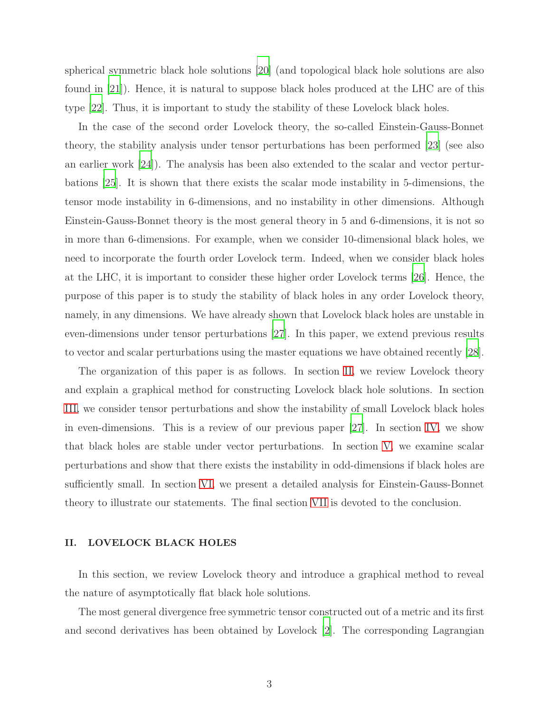spherical symmetric black hole solutions [\[20\]](#page-21-9) (and topological black hole solutions are also found in [\[21\]](#page-21-10)). Hence, it is natural to suppose black holes produced at the LHC are of this type [\[22](#page-21-11)]. Thus, it is important to study the stability of these Lovelock black holes.

In the case of the second order Lovelock theory, the so-called Einstein-Gauss-Bonnet theory, the stability analysis under tensor perturbations has been performed [\[23](#page-21-12)] (see also an earlier work [\[24](#page-21-13)]). The analysis has been also extended to the scalar and vector perturbations [\[25\]](#page-21-14). It is shown that there exists the scalar mode instability in 5-dimensions, the tensor mode instability in 6-dimensions, and no instability in other dimensions. Although Einstein-Gauss-Bonnet theory is the most general theory in 5 and 6-dimensions, it is not so in more than 6-dimensions. For example, when we consider 10-dimensional black holes, we need to incorporate the fourth order Lovelock term. Indeed, when we consider black holes at the LHC, it is important to consider these higher order Lovelock terms [\[26](#page-21-15)]. Hence, the purpose of this paper is to study the stability of black holes in any order Lovelock theory, namely, in any dimensions. We have already shown that Lovelock black holes are unstable in even-dimensions under tensor perturbations [\[27\]](#page-22-0). In this paper, we extend previous results to vector and scalar perturbations using the master equations we have obtained recently [\[28\]](#page-22-1).

The organization of this paper is as follows. In section [II,](#page-2-0) we review Lovelock theory and explain a graphical method for constructing Lovelock black hole solutions. In section [III,](#page-8-0) we consider tensor perturbations and show the instability of small Lovelock black holes in even-dimensions. This is a review of our previous paper [\[27\]](#page-22-0). In section [IV,](#page-12-0) we show that black holes are stable under vector perturbations. In section [V,](#page-14-0) we examine scalar perturbations and show that there exists the instability in odd-dimensions if black holes are sufficiently small. In section [VI,](#page-17-0) we present a detailed analysis for Einstein-Gauss-Bonnet theory to illustrate our statements. The final section [VII](#page-19-0) is devoted to the conclusion.

### <span id="page-2-0"></span>II. LOVELOCK BLACK HOLES

In this section, we review Lovelock theory and introduce a graphical method to reveal the nature of asymptotically flat black hole solutions.

The most general divergence free symmetric tensor constructed out of a metric and its first and second derivatives has been obtained by Lovelock [\[2\]](#page-20-1). The corresponding Lagrangian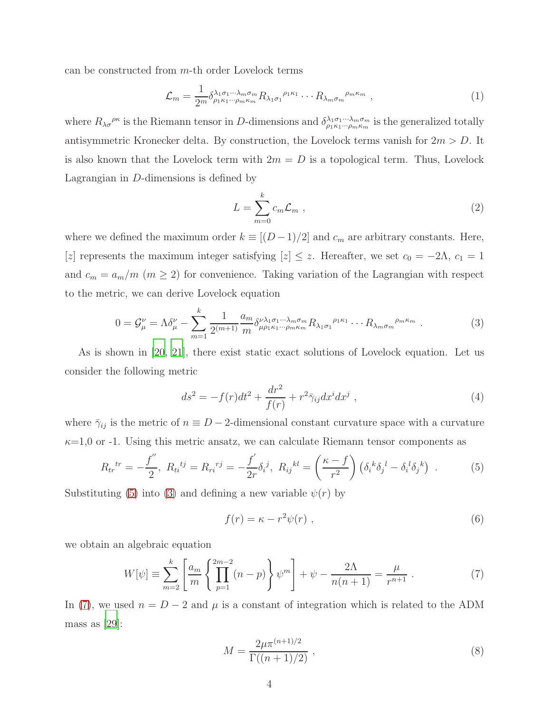can be constructed from m-th order Lovelock terms

$$
\mathcal{L}_m = \frac{1}{2^m} \delta^{\lambda_1 \sigma_1 \cdots \lambda_m \sigma_m}_{\rho_1 \kappa_1 \cdots \rho_m \kappa_m} R_{\lambda_1 \sigma_1}^{\rho_1 \kappa_1} \cdots R_{\lambda_m \sigma_m}^{\rho_m \kappa_m} , \qquad (1)
$$

where  $R_{\lambda\sigma}^{\rho\kappa}$  is the Riemann tensor in D-dimensions and  $\delta_{\rho_1\kappa_1\cdots\rho_m\kappa_m}^{\lambda_1\sigma_1\cdots\lambda_m\sigma_m}$  is the generalized totally antisymmetric Kronecker delta. By construction, the Lovelock terms vanish for  $2m > D$ . It is also known that the Lovelock term with  $2m = D$  is a topological term. Thus, Lovelock Lagrangian in D-dimensions is defined by

$$
L = \sum_{m=0}^{k} c_m \mathcal{L}_m , \qquad (2)
$$

where we defined the maximum order  $k \equiv [(D-1)/2]$  and  $c_m$  are arbitrary constants. Here, [z] represents the maximum integer satisfying  $[z] \leq z$ . Hereafter, we set  $c_0 = -2\Lambda$ ,  $c_1 = 1$ and  $c_m = a_m/m$  ( $m \ge 2$ ) for convenience. Taking variation of the Lagrangian with respect to the metric, we can derive Lovelock equation

<span id="page-3-1"></span>
$$
0 = \mathcal{G}^{\nu}_{\mu} = \Lambda \delta^{\nu}_{\mu} - \sum_{m=1}^{k} \frac{1}{2^{(m+1)}} \frac{a_m}{m} \delta^{\nu \lambda_1 \sigma_1 \cdots \lambda_m \sigma_m}_{\mu \rho_1 \kappa_1 \cdots \rho_m \kappa_m} R_{\lambda_1 \sigma_1}^{\rho_1 \kappa_1} \cdots R_{\lambda_m \sigma_m}^{\rho_m \kappa_m} . \tag{3}
$$

As is shown in [\[20](#page-21-9), [21\]](#page-21-10), there exist static exact solutions of Lovelock equation. Let us consider the following metric

<span id="page-3-4"></span>
$$
ds^{2} = -f(r)dt^{2} + \frac{dr^{2}}{f(r)} + r^{2}\bar{\gamma}_{ij}dx^{i}dx^{j} , \qquad (4)
$$

where  $\bar{\gamma}_{ij}$  is the metric of  $n \equiv D-2$ -dimensional constant curvature space with a curvature  $\kappa=1,0$  or -1. Using this metric ansatz, we can calculate Riemann tensor components as

<span id="page-3-0"></span>
$$
R_{tr}^{tr} = -\frac{f''}{2}, \ R_{ti}^{ij} = R_{ri}^{rj} = -\frac{f'}{2r} \delta_i^j, \ R_{ij}^{kl} = \left(\frac{\kappa - f}{r^2}\right) \left(\delta_i^k \delta_j^l - \delta_i^l \delta_j^k\right) \ . \tag{5}
$$

Substituting [\(5\)](#page-3-0) into [\(3\)](#page-3-1) and defining a new variable  $\psi(r)$  by

<span id="page-3-3"></span>
$$
f(r) = \kappa - r^2 \psi(r) \tag{6}
$$

we obtain an algebraic equation

<span id="page-3-2"></span>
$$
W[\psi] \equiv \sum_{m=2}^{k} \left[ \frac{a_m}{m} \left\{ \prod_{p=1}^{2m-2} (n-p) \right\} \psi^m \right] + \psi - \frac{2\Lambda}{n(n+1)} = \frac{\mu}{r^{n+1}} . \tag{7}
$$

In [\(7\)](#page-3-2), we used  $n = D - 2$  and  $\mu$  is a constant of integration which is related to the ADM mass as [\[29](#page-22-2)]:

<span id="page-3-5"></span>
$$
M = \frac{2\mu \pi^{(n+1)/2}}{\Gamma((n+1)/2)} ,
$$
\n(8)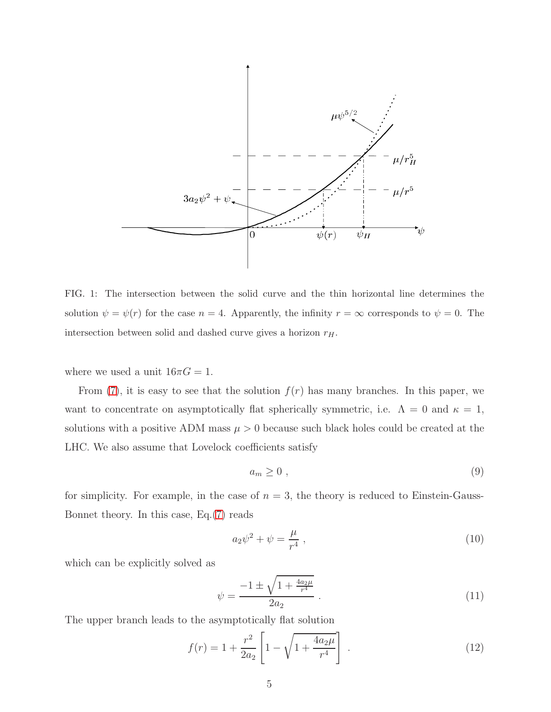

<span id="page-4-0"></span>FIG. 1: The intersection between the solid curve and the thin horizontal line determines the solution  $\psi = \psi(r)$  for the case  $n = 4$ . Apparently, the infinity  $r = \infty$  corresponds to  $\psi = 0$ . The intersection between solid and dashed curve gives a horizon  $r_H$ .

where we used a unit  $16\pi G = 1$ .

From [\(7\)](#page-3-2), it is easy to see that the solution  $f(r)$  has many branches. In this paper, we want to concentrate on asymptotically flat spherically symmetric, i.e.  $\Lambda = 0$  and  $\kappa = 1$ , solutions with a positive ADM mass  $\mu > 0$  because such black holes could be created at the LHC. We also assume that Lovelock coefficients satisfy

<span id="page-4-1"></span>
$$
a_m \ge 0 \t{,} \t(9)
$$

for simplicity. For example, in the case of  $n = 3$ , the theory is reduced to Einstein-Gauss-Bonnet theory. In this case, Eq.[\(7\)](#page-3-2) reads

$$
a_2 \psi^2 + \psi = \frac{\mu}{r^4} \,, \tag{10}
$$

which can be explicitly solved as

$$
\psi = \frac{-1 \pm \sqrt{1 + \frac{4a_2\mu}{r^4}}}{2a_2} \,. \tag{11}
$$

The upper branch leads to the asymptotically flat solution

$$
f(r) = 1 + \frac{r^2}{2a_2} \left[ 1 - \sqrt{1 + \frac{4a_2\mu}{r^4}} \right] \tag{12}
$$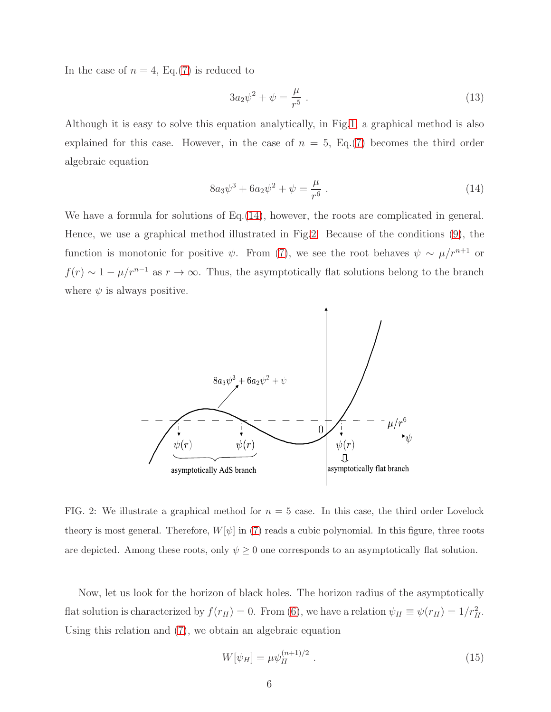In the case of  $n = 4$ , Eq.[\(7\)](#page-3-2) is reduced to

$$
3a_2\psi^2 + \psi = \frac{\mu}{r^5} \,. \tag{13}
$$

Although it is easy to solve this equation analytically, in Fig[.1,](#page-4-0) a graphical method is also explained for this case. However, in the case of  $n = 5$ , Eq.[\(7\)](#page-3-2) becomes the third order algebraic equation

<span id="page-5-0"></span>
$$
8a_3\psi^3 + 6a_2\psi^2 + \psi = \frac{\mu}{r^6} \,. \tag{14}
$$

We have a formula for solutions of Eq.[\(14\)](#page-5-0), however, the roots are complicated in general. Hence, we use a graphical method illustrated in Fig[.2.](#page-5-1) Because of the conditions [\(9\)](#page-4-1), the function is monotonic for positive  $\psi$ . From [\(7\)](#page-3-2), we see the root behaves  $\psi \sim \mu/r^{n+1}$  or  $f(r) \sim 1 - \mu/r^{n-1}$  as  $r \to \infty$ . Thus, the asymptotically flat solutions belong to the branch where  $\psi$  is always positive.



<span id="page-5-1"></span>FIG. 2: We illustrate a graphical method for  $n = 5$  case. In this case, the third order Lovelock theory is most general. Therefore,  $W[\psi]$  in [\(7\)](#page-3-2) reads a cubic polynomial. In this figure, three roots are depicted. Among these roots, only  $\psi \geq 0$  one corresponds to an asymptotically flat solution.

Now, let us look for the horizon of black holes. The horizon radius of the asymptotically flat solution is characterized by  $f(r_H) = 0$ . From [\(6\)](#page-3-3), we have a relation  $\psi_H \equiv \psi(r_H) = 1/r_H^2$ . Using this relation and [\(7\)](#page-3-2), we obtain an algebraic equation

<span id="page-5-2"></span>
$$
W[\psi_H] = \mu \psi_H^{(n+1)/2} \tag{15}
$$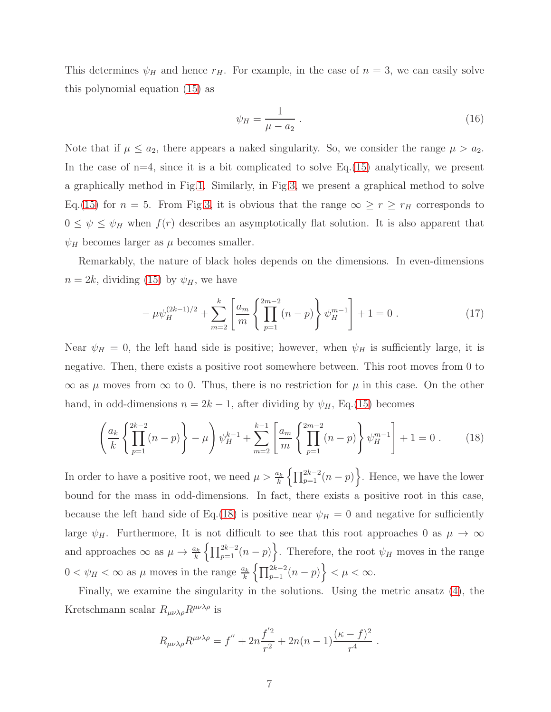This determines  $\psi_H$  and hence  $r_H$ . For example, in the case of  $n = 3$ , we can easily solve this polynomial equation [\(15\)](#page-5-2) as

<span id="page-6-1"></span>
$$
\psi_H = \frac{1}{\mu - a_2} \tag{16}
$$

Note that if  $\mu \le a_2$ , there appears a naked singularity. So, we consider the range  $\mu > a_2$ . In the case of  $n=4$ , since it is a bit complicated to solve Eq. [\(15\)](#page-5-2) analytically, we present a graphically method in Fig[.1.](#page-4-0) Similarly, in Fig[.3,](#page-7-0) we present a graphical method to solve Eq.[\(15\)](#page-5-2) for  $n = 5$ . From Fig[.3,](#page-7-0) it is obvious that the range  $\infty \ge r \ge r_H$  corresponds to  $0 \leq \psi \leq \psi_H$  when  $f(r)$  describes an asymptotically flat solution. It is also apparent that  $\psi_H$  becomes larger as  $\mu$  becomes smaller.

Remarkably, the nature of black holes depends on the dimensions. In even-dimensions  $n = 2k$ , dividing [\(15\)](#page-5-2) by  $\psi_H$ , we have

$$
-\mu \psi_H^{(2k-1)/2} + \sum_{m=2}^k \left[ \frac{a_m}{m} \left\{ \prod_{p=1}^{2m-2} (n-p) \right\} \psi_H^{m-1} \right] + 1 = 0 . \tag{17}
$$

Near  $\psi_H = 0$ , the left hand side is positive; however, when  $\psi_H$  is sufficiently large, it is negative. Then, there exists a positive root somewhere between. This root moves from 0 to  $\infty$  as  $\mu$  moves from  $\infty$  to 0. Thus, there is no restriction for  $\mu$  in this case. On the other hand, in odd-dimensions  $n = 2k - 1$ , after dividing by  $\psi_H$ , Eq.[\(15\)](#page-5-2) becomes

<span id="page-6-0"></span>
$$
\left(\frac{a_k}{k}\left\{\prod_{p=1}^{2k-2}(n-p)\right\}-\mu\right)\psi_H^{k-1}+\sum_{m=2}^{k-1}\left[\frac{a_m}{m}\left\{\prod_{p=1}^{2m-2}(n-p)\right\}\psi_H^{m-1}\right]+1=0.
$$
 (18)

In order to have a positive root, we need  $\mu > \frac{a_k}{k} \left\{ \prod_{p=1}^{2k-2} (n-p) \right\}$ . Hence, we have the lower bound for the mass in odd-dimensions. In fact, there exists a positive root in this case, because the left hand side of Eq.[\(18\)](#page-6-0) is positive near  $\psi_H = 0$  and negative for sufficiently large  $\psi_H$ . Furthermore, It is not difficult to see that this root approaches 0 as  $\mu \to \infty$ and approaches  $\infty$  as  $\mu \to \frac{a_k}{k} \left\{ \prod_{p=1}^{2k-2} (n-p) \right\}$ . Therefore, the root  $\psi_H$  moves in the range  $0 < \psi_H < \infty$  as  $\mu$  moves in the range  $\frac{a_k}{k} \left\{ \prod_{p=1}^{2k-2} (n-p) \right\} < \mu < \infty$ .

Finally, we examine the singularity in the solutions. Using the metric ansatz [\(4\)](#page-3-4), the Kretschmann scalar  $R_{\mu\nu\lambda\rho}R^{\mu\nu\lambda\rho}$  is

$$
R_{\mu\nu\lambda\rho}R^{\mu\nu\lambda\rho} = f'' + 2n\frac{f'^2}{r^2} + 2n(n-1)\frac{(\kappa - f)^2}{r^4}.
$$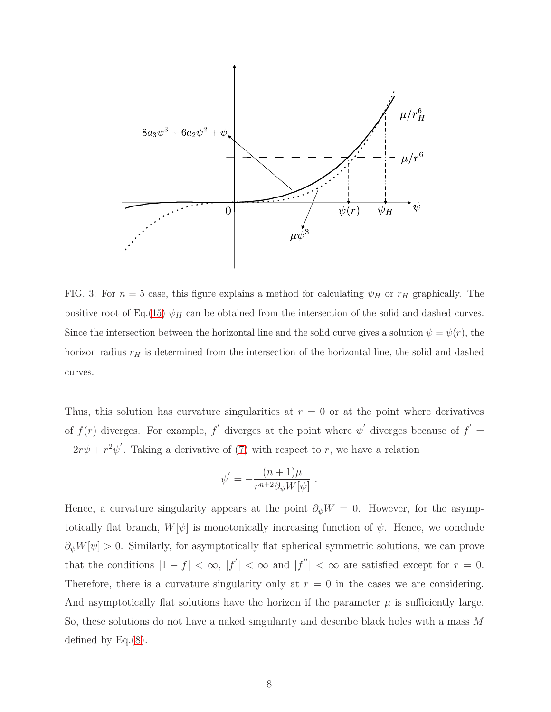

<span id="page-7-0"></span>FIG. 3: For  $n = 5$  case, this figure explains a method for calculating  $\psi_H$  or  $r_H$  graphically. The positive root of Eq.[\(15\)](#page-5-2)  $\psi_H$  can be obtained from the intersection of the solid and dashed curves. Since the intersection between the horizontal line and the solid curve gives a solution  $\psi = \psi(r)$ , the horizon radius  $r_H$  is determined from the intersection of the horizontal line, the solid and dashed curves.

Thus, this solution has curvature singularities at  $r = 0$  or at the point where derivatives of  $f(r)$  diverges. For example,  $f'$  diverges at the point where  $\psi'$  diverges because of  $f' =$  $-2r\psi + r^2\psi'$ . Taking a derivative of [\(7\)](#page-3-2) with respect to r, we have a relation

$$
\psi' = -\frac{(n+1)\mu}{r^{n+2}\partial_{\psi}W[\psi]}.
$$

Hence, a curvature singularity appears at the point  $\partial_{\psi}W = 0$ . However, for the asymptotically flat branch,  $W[\psi]$  is monotonically increasing function of  $\psi$ . Hence, we conclude  $\partial_{\psi}W[\psi]>0$ . Similarly, for asymptotically flat spherical symmetric solutions, we can prove that the conditions  $|1 - f| < \infty$ ,  $|f'| < \infty$  and  $|f''| < \infty$  are satisfied except for  $r = 0$ . Therefore, there is a curvature singularity only at  $r = 0$  in the cases we are considering. And asymptotically flat solutions have the horizon if the parameter  $\mu$  is sufficiently large. So, these solutions do not have a naked singularity and describe black holes with a mass M defined by Eq.[\(8\)](#page-3-5).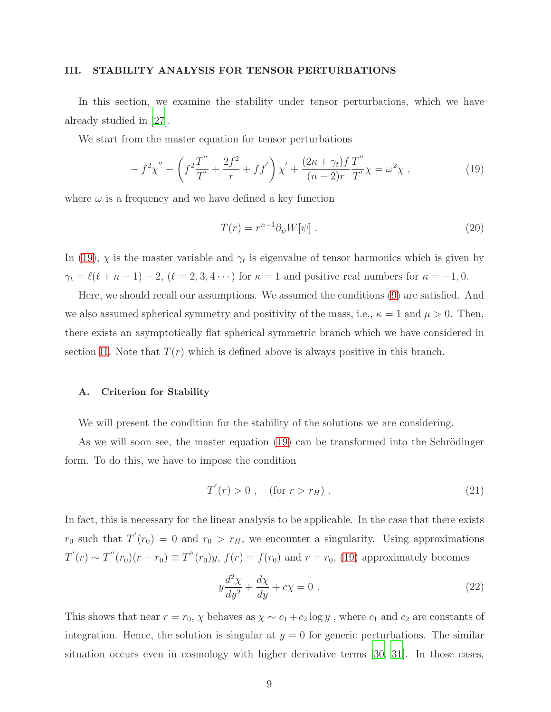#### <span id="page-8-0"></span>III. STABILITY ANALYSIS FOR TENSOR PERTURBATIONS

In this section, we examine the stability under tensor perturbations, which we have already studied in [\[27\]](#page-22-0).

We start from the master equation for tensor perturbations

<span id="page-8-1"></span>
$$
- f^{2} \chi'' - \left( f^{2} \frac{T''}{T'} + \frac{2f^{2}}{r} + f f' \right) \chi' + \frac{(2\kappa + \gamma_{t}) f T''}{(n - 2)r T'} \chi = \omega^{2} \chi , \qquad (19)
$$

where  $\omega$  is a frequency and we have defined a key function

$$
T(r) = r^{n-1} \partial_{\psi} W[\psi] \tag{20}
$$

In [\(19\)](#page-8-1),  $\chi$  is the master variable and  $\gamma_t$  is eigenvalue of tensor harmonics which is given by  $\gamma_t = \ell(\ell + n - 1) - 2$ ,  $(\ell = 2, 3, 4 \cdots)$  for  $\kappa = 1$  and positive real numbers for  $\kappa = -1, 0$ .

Here, we should recall our assumptions. We assumed the conditions [\(9\)](#page-4-1) are satisfied. And we also assumed spherical symmetry and positivity of the mass, i.e.,  $\kappa = 1$  and  $\mu > 0$ . Then, there exists an asymptotically flat spherical symmetric branch which we have considered in section [II.](#page-2-0) Note that  $T(r)$  which is defined above is always positive in this branch.

#### A. Criterion for Stability

We will present the condition for the stability of the solutions we are considering.

As we will soon see, the master equation  $(19)$  can be transformed into the Schrödinger form. To do this, we have to impose the condition

<span id="page-8-2"></span>
$$
T'(r) > 0 , \quad \text{(for } r > r_H). \tag{21}
$$

In fact, this is necessary for the linear analysis to be applicable. In the case that there exists  $r_0$  such that  $T'(r_0) = 0$  and  $r_0 > r_H$ , we encounter a singularity. Using approximations  $T'(r) \sim T''(r_0)(r - r_0) \equiv T''(r_0)y$ ,  $f(r) = f(r_0)$  and  $r = r_0$ , [\(19\)](#page-8-1) approximately becomes

$$
y\frac{d^2\chi}{dy^2} + \frac{d\chi}{dy} + c\chi = 0.
$$
 (22)

This shows that near  $r = r_0$ ,  $\chi$  behaves as  $\chi \sim c_1 + c_2 \log y$ , where  $c_1$  and  $c_2$  are constants of integration. Hence, the solution is singular at  $y = 0$  for generic perturbations. The similar situation occurs even in cosmology with higher derivative terms [\[30](#page-22-3), [31](#page-22-4)]. In those cases,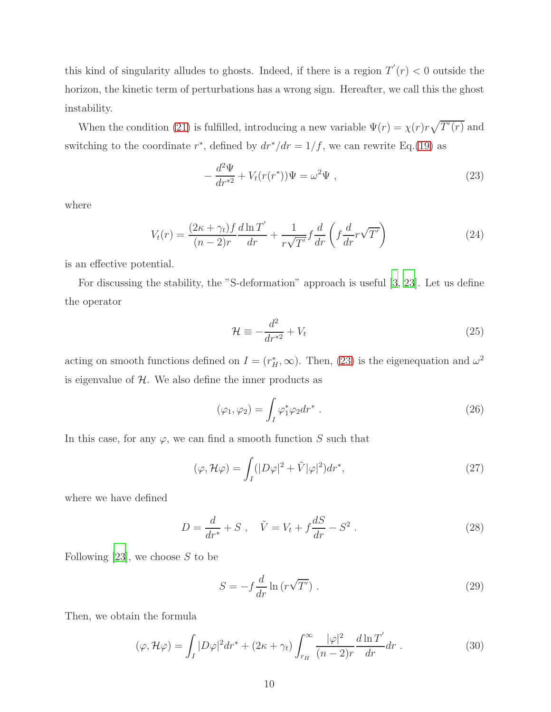this kind of singularity alludes to ghosts. Indeed, if there is a region  $T'(r) < 0$  outside the horizon, the kinetic term of perturbations has a wrong sign. Hereafter, we call this the ghost instability.

When the condition [\(21\)](#page-8-2) is fulfilled, introducing a new variable  $\Psi(r) = \chi(r)r\sqrt{T'(r)}$  and switching to the coordinate  $r^*$ , defined by  $dr^*/dr = 1/f$ , we can rewrite Eq.[\(19\)](#page-8-1) as

<span id="page-9-0"></span>
$$
-\frac{d^2\Psi}{dr^{*2}} + V_t(r(r^*))\Psi = \omega^2\Psi ,
$$
\n(23)

where

$$
V_t(r) = \frac{(2\kappa + \gamma_t)f}{(n-2)r} \frac{d\ln T'}{dr} + \frac{1}{r\sqrt{T'}} f\frac{d}{dr} \left(f\frac{d}{dr}r\sqrt{T'}\right)
$$
(24)

is an effective potential.

For discussing the stability, the "S-deformation" approach is useful [\[3](#page-20-2), [23\]](#page-21-12). Let us define the operator

$$
\mathcal{H} \equiv -\frac{d^2}{dr^{*2}} + V_t \tag{25}
$$

acting on smooth functions defined on  $I = (r_H^*, \infty)$ . Then, [\(23\)](#page-9-0) is the eigenequation and  $\omega^2$ is eigenvalue of  $H$ . We also define the inner products as

<span id="page-9-2"></span>
$$
(\varphi_1, \varphi_2) = \int_I \varphi_1^* \varphi_2 dr^* . \qquad (26)
$$

In this case, for any  $\varphi$ , we can find a smooth function S such that

$$
(\varphi, \mathcal{H}\varphi) = \int_{I} (|D\varphi|^{2} + \tilde{V}|\varphi|^{2}) dr^{*}, \qquad (27)
$$

where we have defined

$$
D = \frac{d}{dr^*} + S \ , \quad \tilde{V} = V_t + f\frac{dS}{dr} - S^2 \ . \tag{28}
$$

Following [\[23\]](#page-21-12), we choose  $S$  to be

$$
S = -f\frac{d}{dr}\ln\left(r\sqrt{T'}\right). \tag{29}
$$

Then, we obtain the formula

<span id="page-9-1"></span>
$$
(\varphi, \mathcal{H}\varphi) = \int_{I} |D\varphi|^{2} dr^{*} + (2\kappa + \gamma_{t}) \int_{r_{H}}^{\infty} \frac{|\varphi|^{2}}{(n-2)r} \frac{d\ln T'}{dr} dr . \qquad (30)
$$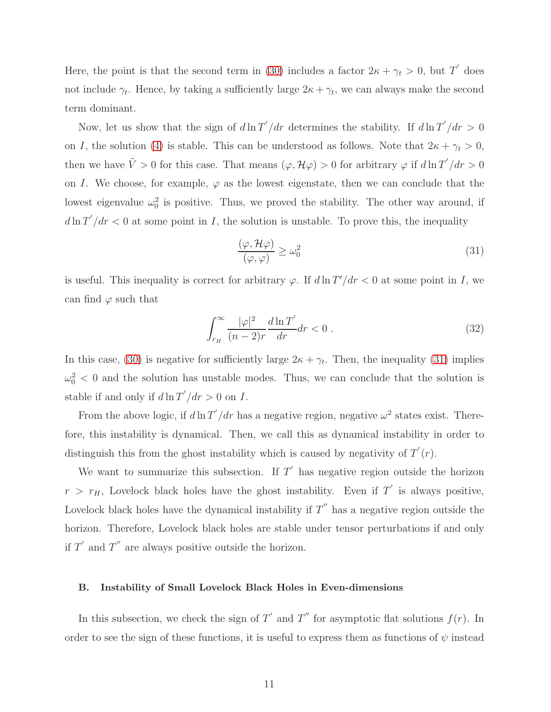Here, the point is that the second term in [\(30\)](#page-9-1) includes a factor  $2\kappa + \gamma_t > 0$ , but T' does not include  $\gamma_t$ . Hence, by taking a sufficiently large  $2\kappa + \gamma_t$ , we can always make the second term dominant.

Now, let us show that the sign of  $d \ln T'/dr$  determines the stability. If  $d \ln T'/dr > 0$ on I, the solution [\(4\)](#page-3-4) is stable. This can be understood as follows. Note that  $2\kappa + \gamma_t > 0$ , then we have  $\tilde{V} > 0$  for this case. That means  $(\varphi, \mathcal{H}\varphi) > 0$  for arbitrary  $\varphi$  if  $d \ln T'/dr > 0$ on I. We choose, for example,  $\varphi$  as the lowest eigenstate, then we can conclude that the lowest eigenvalue  $\omega_0^2$  is positive. Thus, we proved the stability. The other way around, if  $d\ln T'/dr < 0$  at some point in I, the solution is unstable. To prove this, the inequality

<span id="page-10-0"></span>
$$
\frac{(\varphi, \mathcal{H}\varphi)}{(\varphi, \varphi)} \ge \omega_0^2 \tag{31}
$$

is useful. This inequality is correct for arbitrary  $\varphi$ . If  $d\ln T'/dr < 0$  at some point in I, we can find  $\varphi$  such that

$$
\int_{r_H}^{\infty} \frac{|\varphi|^2}{(n-2)r} \frac{d\ln T'}{dr} dr < 0.
$$
\n(32)

In this case, [\(30\)](#page-9-1) is negative for sufficiently large  $2\kappa + \gamma_t$ . Then, the inequality [\(31\)](#page-10-0) implies  $\omega_0^2$  < 0 and the solution has unstable modes. Thus, we can conclude that the solution is stable if and only if  $d \ln T'/dr > 0$  on I.

From the above logic, if  $d \ln T'/dr$  has a negative region, negative  $\omega^2$  states exist. Therefore, this instability is dynamical. Then, we call this as dynamical instability in order to distinguish this from the ghost instability which is caused by negativity of  $T'(r)$ .

We want to summarize this subsection. If  $T'$  has negative region outside the horizon  $r > r_H$ , Lovelock black holes have the ghost instability. Even if T' is always positive, Lovelock black holes have the dynamical instability if  $T''$  has a negative region outside the horizon. Therefore, Lovelock black holes are stable under tensor perturbations if and only if  $T'$  and  $T''$  are always positive outside the horizon.

### B. Instability of Small Lovelock Black Holes in Even-dimensions

In this subsection, we check the sign of T' and T'' for asymptotic flat solutions  $f(r)$ . In order to see the sign of these functions, it is useful to express them as functions of  $\psi$  instead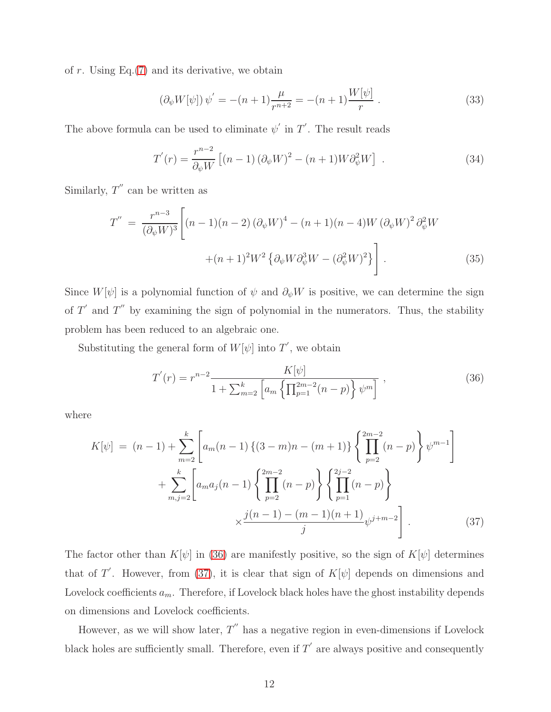of  $r$ . Using Eq. $(7)$  and its derivative, we obtain

$$
(\partial_{\psi} W[\psi]) \psi' = -(n+1)\frac{\mu}{r^{n+2}} = -(n+1)\frac{W[\psi]}{r}.
$$
 (33)

The above formula can be used to eliminate  $\psi'$  in  $T'$ . The result reads

<span id="page-11-3"></span>
$$
T'(r) = \frac{r^{n-2}}{\partial_{\psi}W} \left[ (n-1) \left( \partial_{\psi}W \right)^2 - (n+1) W \partial_{\psi}^2 W \right] \tag{34}
$$

Similarly,  $T''$  can be written as

<span id="page-11-2"></span>
$$
T'' = \frac{r^{n-3}}{(\partial_{\psi}W)^3} \left[ (n-1)(n-2) (\partial_{\psi}W)^4 - (n+1)(n-4)W (\partial_{\psi}W)^2 \partial_{\psi}^2 W \right. \\ \left. + (n+1)^2 W^2 \left\{ \partial_{\psi}W \partial_{\psi}^3 W - (\partial_{\psi}^2W)^2 \right\} \right]. \tag{35}
$$

Since  $W[\psi]$  is a polynomial function of  $\psi$  and  $\partial_{\psi}W$  is positive, we can determine the sign of  $T'$  and  $T''$  by examining the sign of polynomial in the numerators. Thus, the stability problem has been reduced to an algebraic one.

Substituting the general form of  $W[\psi]$  into  $T'$ , we obtain

<span id="page-11-0"></span>
$$
T'(r) = r^{n-2} \frac{K[\psi]}{1 + \sum_{m=2}^{k} \left[ a_m \left\{ \prod_{p=1}^{2m-2} (n-p) \right\} \psi^m \right]},
$$
\n(36)

where

<span id="page-11-1"></span>
$$
K[\psi] = (n-1) + \sum_{m=2}^{k} \left[ a_m(n-1) \left\{ (3-m)n - (m+1) \right\} \left\{ \prod_{p=2}^{2m-2} (n-p) \right\} \psi^{m-1} \right] + \sum_{m,j=2}^{k} \left[ a_m a_j(n-1) \left\{ \prod_{p=2}^{2m-2} (n-p) \right\} \left\{ \prod_{p=1}^{2j-2} (n-p) \right\} - \frac{j(n-1) - (m-1)(n+1)}{j} \psi^{j+m-2} \right].
$$
 (37)

The factor other than  $K[\psi]$  in [\(36\)](#page-11-0) are manifestly positive, so the sign of  $K[\psi]$  determines that of T'. However, from [\(37\)](#page-11-1), it is clear that sign of  $K[\psi]$  depends on dimensions and Lovelock coefficients  $a_m$ . Therefore, if Lovelock black holes have the ghost instability depends on dimensions and Lovelock coefficients.

However, as we will show later,  $T''$  has a negative region in even-dimensions if Lovelock black holes are sufficiently small. Therefore, even if  $T'$  are always positive and consequently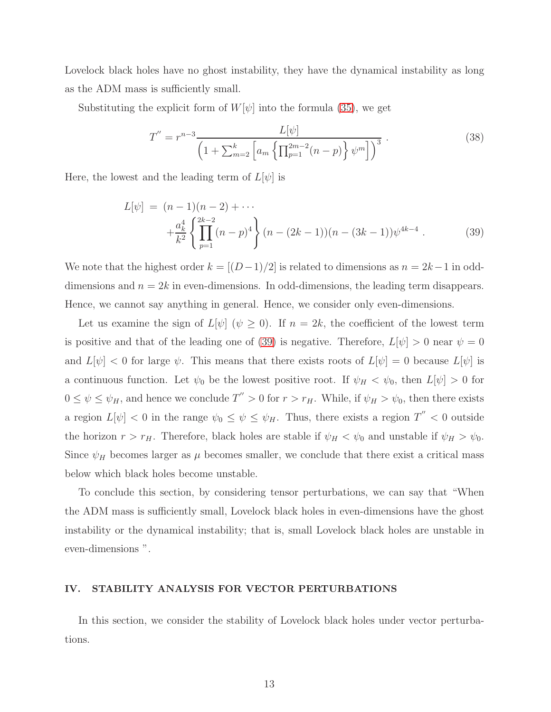Lovelock black holes have no ghost instability, they have the dynamical instability as long as the ADM mass is sufficiently small.

Substituting the explicit form of  $W[\psi]$  into the formula [\(35\)](#page-11-2), we get

$$
T'' = r^{n-3} \frac{L[\psi]}{\left(1 + \sum_{m=2}^{k} \left[a_m \left\{\prod_{p=1}^{2m-2} (n-p)\right\} \psi^m\right]\right)^3} \,. \tag{38}
$$

Here, the lowest and the leading term of  $L[\psi]$  is

<span id="page-12-1"></span>
$$
L[\psi] = (n-1)(n-2) + \cdots
$$
  
 
$$
+ \frac{a_k^4}{k^2} \left\{ \prod_{p=1}^{2k-2} (n-p)^4 \right\} (n - (2k-1))(n - (3k-1))\psi^{4k-4} . \tag{39}
$$

We note that the highest order  $k = [(D-1)/2]$  is related to dimensions as  $n = 2k-1$  in odddimensions and  $n = 2k$  in even-dimensions. In odd-dimensions, the leading term disappears. Hence, we cannot say anything in general. Hence, we consider only even-dimensions.

Let us examine the sign of  $L[\psi]$  ( $\psi \geq 0$ ). If  $n = 2k$ , the coefficient of the lowest term is positive and that of the leading one of [\(39\)](#page-12-1) is negative. Therefore,  $L[\psi] > 0$  near  $\psi = 0$ and  $L[\psi] < 0$  for large  $\psi$ . This means that there exists roots of  $L[\psi] = 0$  because  $L[\psi]$  is a continuous function. Let  $\psi_0$  be the lowest positive root. If  $\psi_H < \psi_0$ , then  $L[\psi] > 0$  for  $0 \le \psi \le \psi_H$ , and hence we conclude  $T'' > 0$  for  $r > r_H$ . While, if  $\psi_H > \psi_0$ , then there exists a region  $L[\psi] < 0$  in the range  $\psi_0 \leq \psi \leq \psi_H$ . Thus, there exists a region  $T'' < 0$  outside the horizon  $r > r_H$ . Therefore, black holes are stable if  $\psi_H < \psi_0$  and unstable if  $\psi_H > \psi_0$ . Since  $\psi_H$  becomes larger as  $\mu$  becomes smaller, we conclude that there exist a critical mass below which black holes become unstable.

To conclude this section, by considering tensor perturbations, we can say that "When the ADM mass is sufficiently small, Lovelock black holes in even-dimensions have the ghost instability or the dynamical instability; that is, small Lovelock black holes are unstable in even-dimensions ".

## <span id="page-12-0"></span>IV. STABILITY ANALYSIS FOR VECTOR PERTURBATIONS

In this section, we consider the stability of Lovelock black holes under vector perturbations.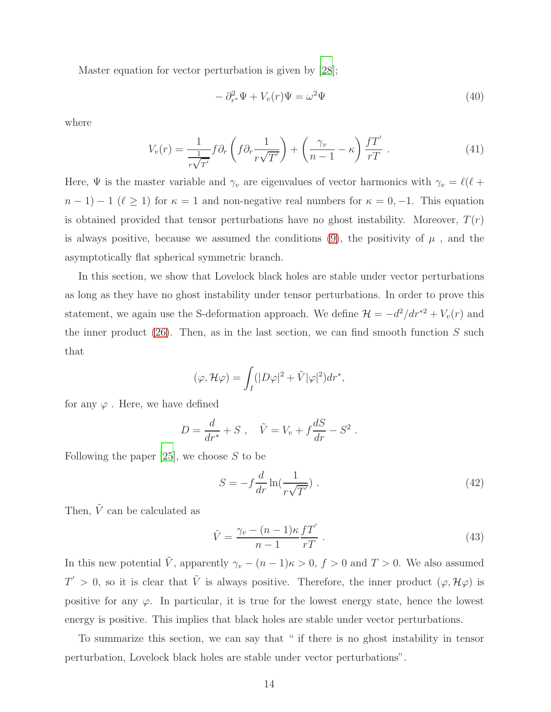Master equation for vector perturbation is given by [\[28](#page-22-1)];

$$
- \partial_{r^*}^2 \Psi + V_v(r)\Psi = \omega^2 \Psi \tag{40}
$$

where

$$
V_v(r) = \frac{1}{\frac{1}{r\sqrt{T'}}} f \partial_r \left( f \partial_r \frac{1}{r\sqrt{T'}} \right) + \left( \frac{\gamma_v}{n-1} - \kappa \right) \frac{f T'}{rT} \,. \tag{41}
$$

Here,  $\Psi$  is the master variable and  $\gamma_v$  are eigenvalues of vector harmonics with  $\gamma_v = \ell(\ell +$  $n-1$ ) − 1 ( $\ell \geq 1$ ) for  $\kappa = 1$  and non-negative real numbers for  $\kappa = 0, -1$ . This equation is obtained provided that tensor perturbations have no ghost instability. Moreover,  $T(r)$ is always positive, because we assumed the conditions [\(9\)](#page-4-1), the positivity of  $\mu$ , and the asymptotically flat spherical symmetric branch.

In this section, we show that Lovelock black holes are stable under vector perturbations as long as they have no ghost instability under tensor perturbations. In order to prove this statement, we again use the S-deformation approach. We define  $\mathcal{H} = -d^2/dr^{*2} + V_v(r)$  and the inner product  $(26)$ . Then, as in the last section, we can find smooth function S such that

$$
(\varphi, \mathcal{H}\varphi) = \int_I (|D\varphi|^2 + \tilde{V}|\varphi|^2) dr^*,
$$

for any  $\varphi$ . Here, we have defined

$$
D = \frac{d}{dr^*} + S , \quad \tilde{V} = V_v + f\frac{dS}{dr} - S^2 .
$$

Following the paper  $[25]$ , we choose S to be

$$
S = -f\frac{d}{dr}\ln(\frac{1}{r\sqrt{T'}}). \tag{42}
$$

Then,  $\tilde{V}$  can be calculated as

$$
\tilde{V} = \frac{\gamma_v - (n-1)\kappa}{n-1} \frac{fT'}{rT} \ . \tag{43}
$$

In this new potential  $\tilde{V}$ , apparently  $\gamma_v - (n-1)\kappa > 0$ ,  $f > 0$  and  $T > 0$ . We also assumed  $T' > 0$ , so it is clear that  $\tilde{V}$  is always positive. Therefore, the inner product  $(\varphi, \mathcal{H}\varphi)$  is positive for any  $\varphi$ . In particular, it is true for the lowest energy state, hence the lowest energy is positive. This implies that black holes are stable under vector perturbations.

To summarize this section, we can say that " if there is no ghost instability in tensor perturbation, Lovelock black holes are stable under vector perturbations".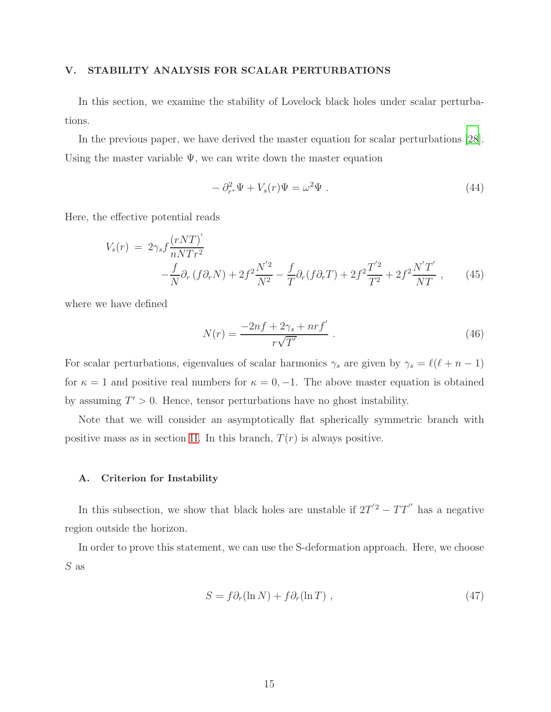### <span id="page-14-0"></span>V. STABILITY ANALYSIS FOR SCALAR PERTURBATIONS

In this section, we examine the stability of Lovelock black holes under scalar perturbations.

In the previous paper, we have derived the master equation for scalar perturbations [\[28\]](#page-22-1). Using the master variable  $\Psi$ , we can write down the master equation

$$
- \partial_{r^*}^2 \Psi + V_s(r) \Psi = \omega^2 \Psi . \qquad (44)
$$

Here, the effective potential reads

<span id="page-14-1"></span>
$$
V_s(r) = 2\gamma_s f \frac{(rNT)'}{nNTr^2} - \frac{f}{N}\partial_r (f\partial_r N) + 2f^2 \frac{N'^2}{N^2} - \frac{f}{T}\partial_r (f\partial_r T) + 2f^2 \frac{T'^2}{T^2} + 2f^2 \frac{N'T'}{NT} ,\qquad (45)
$$

where we have defined

$$
N(r) = \frac{-2nf + 2\gamma_s + nrf'}{r\sqrt{T'}} \ . \tag{46}
$$

For scalar perturbations, eigenvalues of scalar harmonics  $\gamma_s$  are given by  $\gamma_s = \ell(\ell+n-1)$ for  $\kappa = 1$  and positive real numbers for  $\kappa = 0, -1$ . The above master equation is obtained by assuming  $T' > 0$ . Hence, tensor perturbations have no ghost instability.

Note that we will consider an asymptotically flat spherically symmetric branch with positive mass as in section [II.](#page-2-0) In this branch,  $T(r)$  is always positive.

### A. Criterion for Instability

In this subsection, we show that black holes are unstable if  $2T^{'2} - TT^{''}$  has a negative region outside the horizon.

In order to prove this statement, we can use the S-deformation approach. Here, we choose S as

$$
S = f \partial_r (\ln N) + f \partial_r (\ln T) , \qquad (47)
$$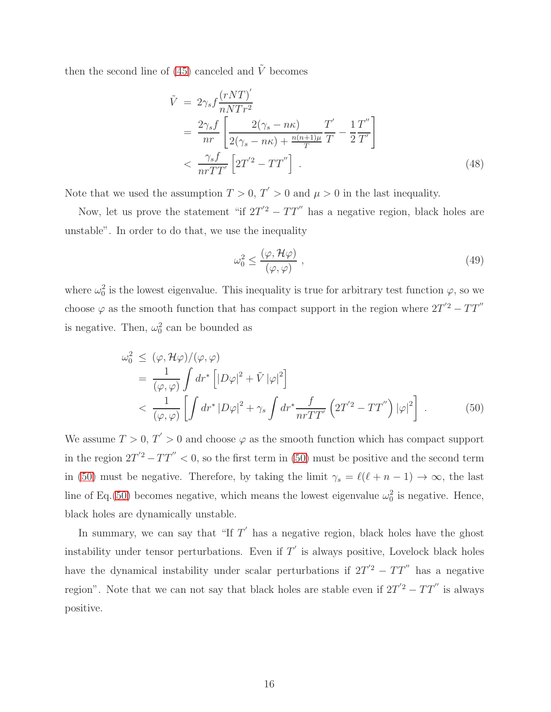then the second line of [\(45\)](#page-14-1) canceled and  $\tilde{V}$  becomes

$$
\tilde{V} = 2\gamma_s f \frac{(rNT)'}{nNTr^2}
$$
\n
$$
= \frac{2\gamma_s f}{nr} \left[ \frac{2(\gamma_s - n\kappa)}{2(\gamma_s - n\kappa) + \frac{n(n+1)\mu}{T}} \frac{T'}{T} - \frac{1}{2} \frac{T''}{T'} \right]
$$
\n
$$
< \frac{\gamma_s f}{nrTT'} \left[ 2T'^2 - TT'' \right]. \tag{48}
$$

Note that we used the assumption  $T > 0$ ,  $T' > 0$  and  $\mu > 0$  in the last inequality.

Now, let us prove the statement "if  $2T'^2 - TT''$  has a negative region, black holes are unstable". In order to do that, we use the inequality

$$
\omega_0^2 \le \frac{(\varphi, \mathcal{H}\varphi)}{(\varphi, \varphi)} \,, \tag{49}
$$

where  $\omega_0^2$  is the lowest eigenvalue. This inequality is true for arbitrary test function  $\varphi$ , so we choose  $\varphi$  as the smooth function that has compact support in the region where  $2T^{'2} - TT^{''}$ is negative. Then,  $\omega_0^2$  can be bounded as

<span id="page-15-0"></span>
$$
\omega_0^2 \le (\varphi, \mathcal{H}\varphi) / (\varphi, \varphi)
$$
  
=  $\frac{1}{(\varphi, \varphi)} \int dr^* \left[ |D\varphi|^2 + \tilde{V} |\varphi|^2 \right]$   
<  $\frac{1}{(\varphi, \varphi)} \left[ \int dr^* |D\varphi|^2 + \gamma_s \int dr^* \frac{f}{nrTT'} \left( 2T'^2 - TT'' \right) |\varphi|^2 \right].$  (50)

We assume  $T > 0$ ,  $T' > 0$  and choose  $\varphi$  as the smooth function which has compact support in the region  $2T'^2 - TT'' < 0$ , so the first term in [\(50\)](#page-15-0) must be positive and the second term in [\(50\)](#page-15-0) must be negative. Therefore, by taking the limit  $\gamma_s = \ell(\ell+n-1) \to \infty$ , the last line of Eq.[\(50\)](#page-15-0) becomes negative, which means the lowest eigenvalue  $\omega_0^2$  is negative. Hence, black holes are dynamically unstable.

In summary, we can say that "If  $T'$  has a negative region, black holes have the ghost instability under tensor perturbations. Even if  $T'$  is always positive, Lovelock black holes have the dynamical instability under scalar perturbations if  $2T'^2 - TT''$  has a negative region". Note that we can not say that black holes are stable even if  $2T'^2 - TT''$  is always positive.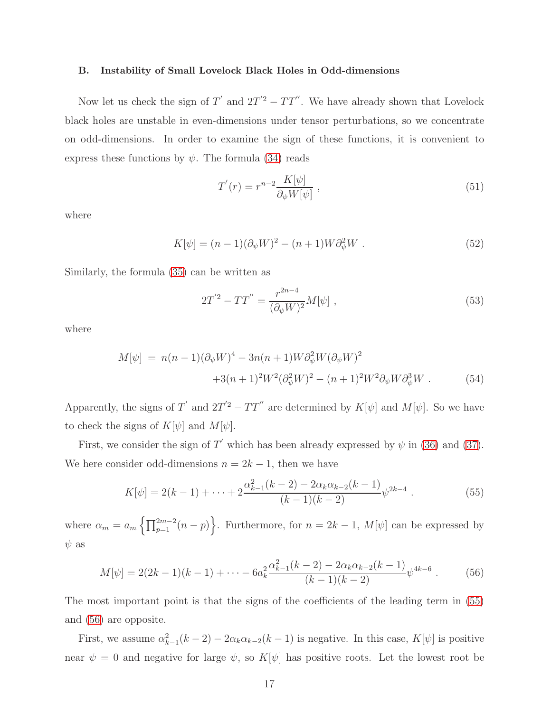#### B. Instability of Small Lovelock Black Holes in Odd-dimensions

Now let us check the sign of  $T'$  and  $2T'^2 - TT''$ . We have already shown that Lovelock black holes are unstable in even-dimensions under tensor perturbations, so we concentrate on odd-dimensions. In order to examine the sign of these functions, it is convenient to express these functions by  $\psi$ . The formula [\(34\)](#page-11-3) reads

$$
T'(r) = r^{n-2} \frac{K[\psi]}{\partial_{\psi} W[\psi]},
$$
\n(51)

where

$$
K[\psi] = (n-1)(\partial_{\psi}W)^{2} - (n+1)W\partial_{\psi}^{2}W .
$$
 (52)

Similarly, the formula [\(35\)](#page-11-2) can be written as

$$
2T'^2 - TT'' = \frac{r^{2n-4}}{(\partial_\psi W)^2} M[\psi] \;, \tag{53}
$$

where

$$
M[\psi] = n(n-1)(\partial_{\psi}W)^{4} - 3n(n+1)W\partial_{\psi}^{2}W(\partial_{\psi}W)^{2}
$$
  
+3(n+1)<sup>2</sup> $W^{2}(\partial_{\psi}^{2}W)^{2} - (n+1)^{2}W^{2}\partial_{\psi}W\partial_{\psi}^{3}W$ . (54)

Apparently, the signs of T' and  $2T'^2 - TT''$  are determined by  $K[\psi]$  and  $M[\psi]$ . So we have to check the signs of  $K[\psi]$  and  $M[\psi]$ .

First, we consider the sign of T' which has been already expressed by  $\psi$  in [\(36\)](#page-11-0) and [\(37\)](#page-11-1). We here consider odd-dimensions  $n = 2k - 1$ , then we have

<span id="page-16-0"></span>
$$
K[\psi] = 2(k-1) + \dots + 2\frac{\alpha_{k-1}^2(k-2) - 2\alpha_k \alpha_{k-2}(k-1)}{(k-1)(k-2)} \psi^{2k-4} . \tag{55}
$$

where  $\alpha_m = a_m \left\{ \prod_{p=1}^{2m-2} (n-p) \right\}$ . Furthermore, for  $n = 2k - 1$ ,  $M[\psi]$  can be expressed by  $\psi$  as

<span id="page-16-1"></span>
$$
M[\psi] = 2(2k-1)(k-1) + \dots - 6a_k^2 \frac{\alpha_{k-1}^2(k-2) - 2\alpha_k \alpha_{k-2}(k-1)}{(k-1)(k-2)} \psi^{4k-6}.
$$
 (56)

The most important point is that the signs of the coefficients of the leading term in [\(55\)](#page-16-0) and [\(56\)](#page-16-1) are opposite.

First, we assume  $\alpha_{k-1}^2(k-2) - 2\alpha_k \alpha_{k-2}(k-1)$  is negative. In this case,  $K[\psi]$  is positive near  $\psi = 0$  and negative for large  $\psi$ , so  $K[\psi]$  has positive roots. Let the lowest root be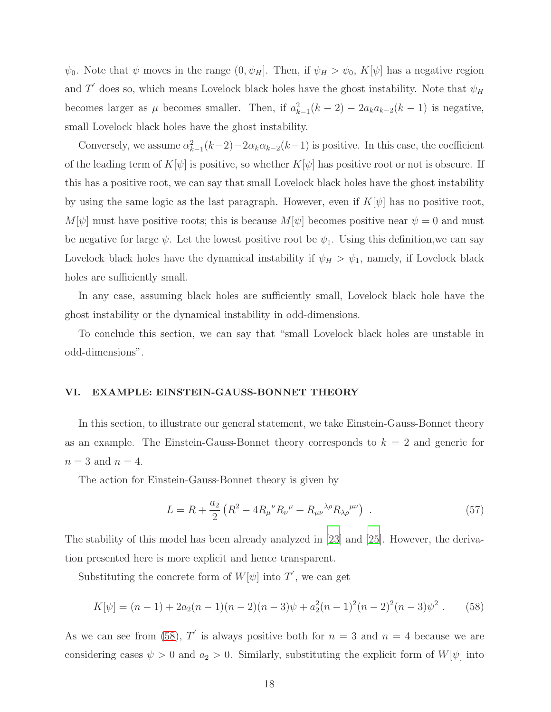$\psi_0$ . Note that  $\psi$  moves in the range  $(0, \psi_H]$ . Then, if  $\psi_H > \psi_0$ ,  $K[\psi]$  has a negative region and T' does so, which means Lovelock black holes have the ghost instability. Note that  $\psi_H$ becomes larger as  $\mu$  becomes smaller. Then, if  $a_{k-1}^2(k-2) - 2a_ka_{k-2}(k-1)$  is negative, small Lovelock black holes have the ghost instability.

Conversely, we assume  $\alpha_{k-1}^2(k-2) - 2\alpha_k \alpha_{k-2}(k-1)$  is positive. In this case, the coefficient of the leading term of  $K[\psi]$  is positive, so whether  $K[\psi]$  has positive root or not is obscure. If this has a positive root, we can say that small Lovelock black holes have the ghost instability by using the same logic as the last paragraph. However, even if  $K[\psi]$  has no positive root,  $M[\psi]$  must have positive roots; this is because  $M[\psi]$  becomes positive near  $\psi = 0$  and must be negative for large  $\psi$ . Let the lowest positive root be  $\psi_1$ . Using this definition, we can say Lovelock black holes have the dynamical instability if  $\psi_H > \psi_1$ , namely, if Lovelock black holes are sufficiently small.

In any case, assuming black holes are sufficiently small, Lovelock black hole have the ghost instability or the dynamical instability in odd-dimensions.

To conclude this section, we can say that "small Lovelock black holes are unstable in odd-dimensions".

### <span id="page-17-0"></span>VI. EXAMPLE: EINSTEIN-GAUSS-BONNET THEORY

In this section, to illustrate our general statement, we take Einstein-Gauss-Bonnet theory as an example. The Einstein-Gauss-Bonnet theory corresponds to  $k = 2$  and generic for  $n = 3$  and  $n = 4$ .

The action for Einstein-Gauss-Bonnet theory is given by

$$
L = R + \frac{a_2}{2} \left( R^2 - 4R_{\mu}{}^{\nu} R_{\nu}{}^{\mu} + R_{\mu\nu}{}^{\lambda\rho} R_{\lambda\rho}{}^{\mu\nu} \right) \ . \tag{57}
$$

The stability of this model has been already analyzed in [\[23](#page-21-12)] and [\[25\]](#page-21-14). However, the derivation presented here is more explicit and hence transparent.

Substituting the concrete form of  $W[\psi]$  into  $T'$ , we can get

<span id="page-17-1"></span>
$$
K[\psi] = (n-1) + 2a_2(n-1)(n-2)(n-3)\psi + a_2^2(n-1)^2(n-2)^2(n-3)\psi^2.
$$
 (58)

As we can see from [\(58\)](#page-17-1), T' is always positive both for  $n = 3$  and  $n = 4$  because we are considering cases  $\psi > 0$  and  $a_2 > 0$ . Similarly, substituting the explicit form of  $W[\psi]$  into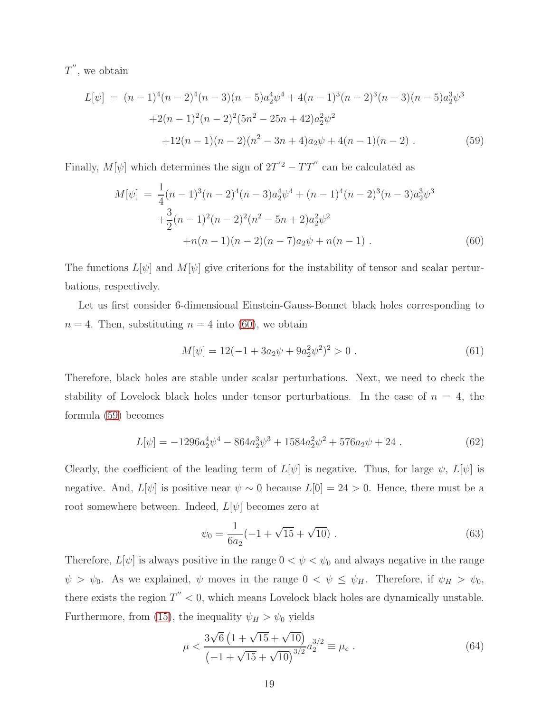$T''$ , we obtain

<span id="page-18-1"></span>
$$
L[\psi] = (n-1)^4(n-2)^4(n-3)(n-5)a_2^4\psi^4 + 4(n-1)^3(n-2)^3(n-3)(n-5)a_2^3\psi^3
$$
  
+2(n-1)^2(n-2)^2(5n^2-25n+42)a\_2^2\psi^2  
+12(n-1)(n-2)(n^2-3n+4)a\_2\psi + 4(n-1)(n-2). (59)

Finally,  $M[\psi]$  which determines the sign of  $2T'^2 - TT''$  can be calculated as

<span id="page-18-0"></span>
$$
M[\psi] = \frac{1}{4}(n-1)^3(n-2)^4(n-3)a_2^4\psi^4 + (n-1)^4(n-2)^3(n-3)a_2^3\psi^3
$$
  
 
$$
+\frac{3}{2}(n-1)^2(n-2)^2(n^2-5n+2)a_2^2\psi^2
$$
  
 
$$
+n(n-1)(n-2)(n-7)a_2\psi + n(n-1).
$$
 (60)

The functions  $L[\psi]$  and  $M[\psi]$  give criterions for the instability of tensor and scalar perturbations, respectively.

Let us first consider 6-dimensional Einstein-Gauss-Bonnet black holes corresponding to  $n = 4$ . Then, substituting  $n = 4$  into [\(60\)](#page-18-0), we obtain

$$
M[\psi] = 12(-1 + 3a_2\psi + 9a_2^2\psi^2)^2 > 0.
$$
\n(61)

Therefore, black holes are stable under scalar perturbations. Next, we need to check the stability of Lovelock black holes under tensor perturbations. In the case of  $n = 4$ , the formula [\(59\)](#page-18-1) becomes

$$
L[\psi] = -1296a_2^4\psi^4 - 864a_2^3\psi^3 + 1584a_2^2\psi^2 + 576a_2\psi + 24.
$$
 (62)

Clearly, the coefficient of the leading term of  $L[\psi]$  is negative. Thus, for large  $\psi$ ,  $L[\psi]$  is negative. And,  $L[\psi]$  is positive near  $\psi \sim 0$  because  $L[0] = 24 > 0$ . Hence, there must be a root somewhere between. Indeed,  $L[\psi]$  becomes zero at

$$
\psi_0 = \frac{1}{6a_2}(-1 + \sqrt{15} + \sqrt{10}).\tag{63}
$$

Therefore,  $L[\psi]$  is always positive in the range  $0 < \psi < \psi_0$  and always negative in the range  $\psi > \psi_0$ . As we explained,  $\psi$  moves in the range  $0 < \psi \leq \psi_H$ . Therefore, if  $\psi_H > \psi_0$ , there exists the region  $T'' < 0$ , which means Lovelock black holes are dynamically unstable. Furthermore, from [\(15\)](#page-5-2), the inequality  $\psi_H > \psi_0$  yields

$$
\mu < \frac{3\sqrt{6}\left(1 + \sqrt{15} + \sqrt{10}\right)}{\left(-1 + \sqrt{15} + \sqrt{10}\right)^{3/2}} a_2^{3/2} \equiv \mu_c \ . \tag{64}
$$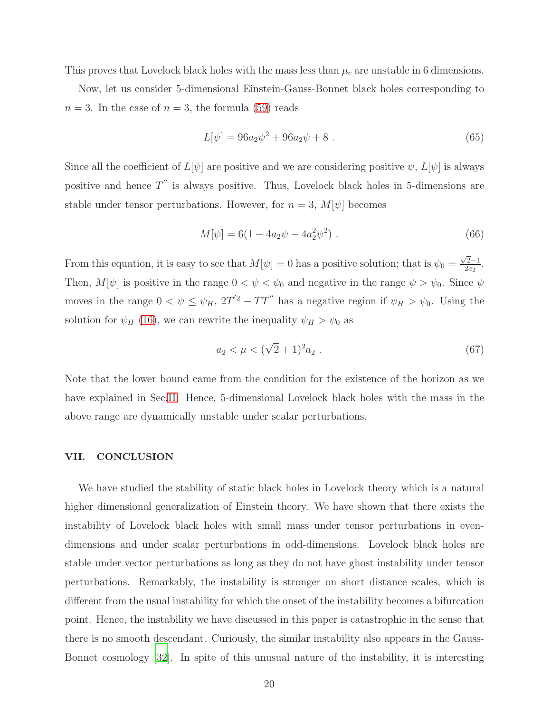This proves that Lovelock black holes with the mass less than  $\mu_c$  are unstable in 6 dimensions.

Now, let us consider 5-dimensional Einstein-Gauss-Bonnet black holes corresponding to  $n = 3$ . In the case of  $n = 3$ , the formula [\(59\)](#page-18-1) reads

$$
L[\psi] = 96a_2\psi^2 + 96a_2\psi + 8 \tag{65}
$$

Since all the coefficient of  $L[\psi]$  are positive and we are considering positive  $\psi$ ,  $L[\psi]$  is always positive and hence  $T''$  is always positive. Thus, Lovelock black holes in 5-dimensions are stable under tensor perturbations. However, for  $n = 3$ ,  $M[\psi]$  becomes

$$
M[\psi] = 6(1 - 4a_2\psi - 4a_2^2\psi^2) \tag{66}
$$

From this equation, it is easy to see that  $M[\psi] = 0$  has a positive solution; that is  $\psi_0 = \frac{\sqrt{2}-1}{2a_2}$ . Then,  $M[\psi]$  is positive in the range  $0 < \psi < \psi_0$  and negative in the range  $\psi > \psi_0$ . Since  $\psi$ moves in the range  $0 < \psi \leq \psi_H$ ,  $2T'^2 - TT''$  has a negative region if  $\psi_H > \psi_0$ . Using the solution for  $\psi_H$  [\(16\)](#page-6-1), we can rewrite the inequality  $\psi_H > \psi_0$  as

$$
a_2 < \mu < (\sqrt{2} + 1)^2 a_2 \tag{67}
$$

Note that the lower bound came from the condition for the existence of the horizon as we have explained in Sec[.II.](#page-2-0) Hence, 5-dimensional Lovelock black holes with the mass in the above range are dynamically unstable under scalar perturbations.

### <span id="page-19-0"></span>VII. CONCLUSION

We have studied the stability of static black holes in Lovelock theory which is a natural higher dimensional generalization of Einstein theory. We have shown that there exists the instability of Lovelock black holes with small mass under tensor perturbations in evendimensions and under scalar perturbations in odd-dimensions. Lovelock black holes are stable under vector perturbations as long as they do not have ghost instability under tensor perturbations. Remarkably, the instability is stronger on short distance scales, which is different from the usual instability for which the onset of the instability becomes a bifurcation point. Hence, the instability we have discussed in this paper is catastrophic in the sense that there is no smooth descendant. Curiously, the similar instability also appears in the Gauss-Bonnet cosmology [\[32\]](#page-22-5). In spite of this unusual nature of the instability, it is interesting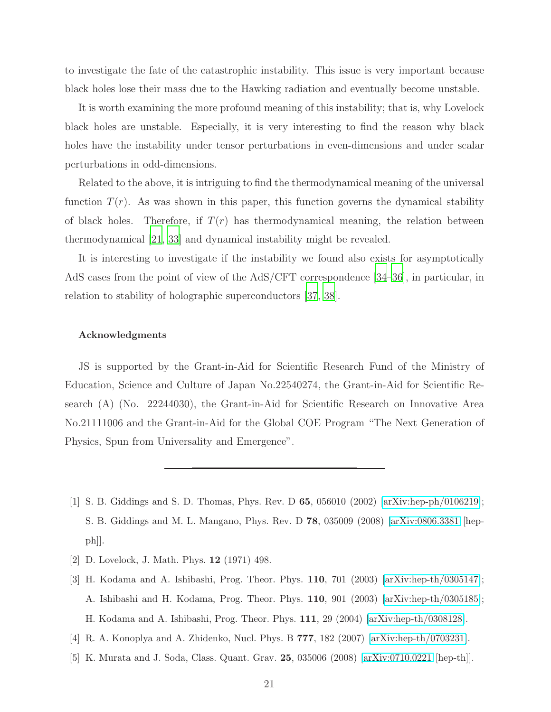to investigate the fate of the catastrophic instability. This issue is very important because black holes lose their mass due to the Hawking radiation and eventually become unstable.

It is worth examining the more profound meaning of this instability; that is, why Lovelock black holes are unstable. Especially, it is very interesting to find the reason why black holes have the instability under tensor perturbations in even-dimensions and under scalar perturbations in odd-dimensions.

Related to the above, it is intriguing to find the thermodynamical meaning of the universal function  $T(r)$ . As was shown in this paper, this function governs the dynamical stability of black holes. Therefore, if  $T(r)$  has thermodynamical meaning, the relation between thermodynamical [\[21,](#page-21-10) [33\]](#page-22-6) and dynamical instability might be revealed.

It is interesting to investigate if the instability we found also exists for asymptotically AdS cases from the point of view of the AdS/CFT correspondence [\[34](#page-22-7)[–36\]](#page-22-8), in particular, in relation to stability of holographic superconductors [\[37](#page-22-9), [38\]](#page-22-10).

### Acknowledgments

JS is supported by the Grant-in-Aid for Scientific Research Fund of the Ministry of Education, Science and Culture of Japan No.22540274, the Grant-in-Aid for Scientific Research (A) (No. 22244030), the Grant-in-Aid for Scientific Research on Innovative Area No.21111006 and the Grant-in-Aid for the Global COE Program "The Next Generation of Physics, Spun from Universality and Emergence".

- <span id="page-20-0"></span>[1] S. B. Giddings and S. D. Thomas, Phys. Rev. D 65, 056010 (2002) [\[arXiv:hep-ph/0106219\]](http://arxiv.org/abs/hep-ph/0106219); S. B. Giddings and M. L. Mangano, Phys. Rev. D 78, 035009 (2008) [\[arXiv:0806.3381](http://arxiv.org/abs/0806.3381) [hep $ph$ .
- <span id="page-20-1"></span>[2] D. Lovelock, J. Math. Phys. 12 (1971) 498.
- <span id="page-20-2"></span>[3] H. Kodama and A. Ishibashi, Prog. Theor. Phys. 110, 701 (2003) [\[arXiv:hep-th/0305147\]](http://arxiv.org/abs/hep-th/0305147); A. Ishibashi and H. Kodama, Prog. Theor. Phys. 110, 901 (2003) [\[arXiv:hep-th/0305185\]](http://arxiv.org/abs/hep-th/0305185); H. Kodama and A. Ishibashi, Prog. Theor. Phys. 111, 29 (2004) [\[arXiv:hep-th/0308128\]](http://arxiv.org/abs/hep-th/0308128).
- <span id="page-20-3"></span>[4] R. A. Konoplya and A. Zhidenko, Nucl. Phys. B 777, 182 (2007) [\[arXiv:hep-th/0703231\]](http://arxiv.org/abs/hep-th/0703231).
- <span id="page-20-4"></span>[5] K. Murata and J. Soda, Class. Quant. Grav. 25, 035006 (2008) [\[arXiv:0710.0221](http://arxiv.org/abs/0710.0221) [hep-th]].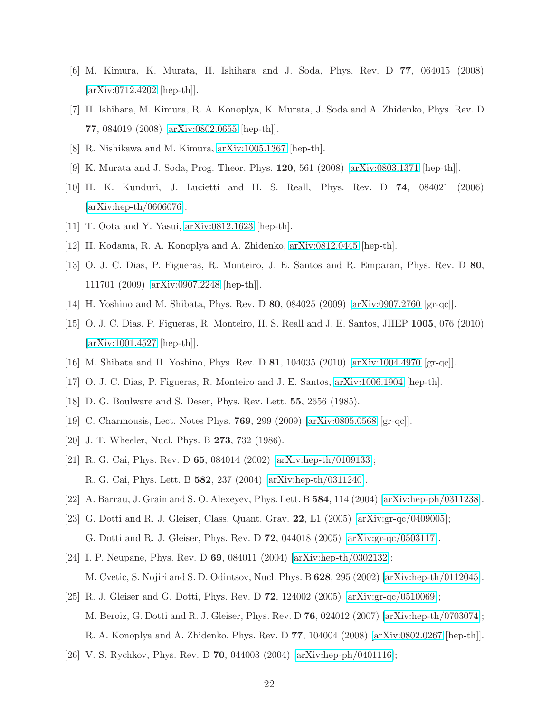- <span id="page-21-0"></span>[6] M. Kimura, K. Murata, H. Ishihara and J. Soda, Phys. Rev. D 77, 064015 (2008) [\[arXiv:0712.4202](http://arxiv.org/abs/0712.4202) [hep-th]].
- [7] H. Ishihara, M. Kimura, R. A. Konoplya, K. Murata, J. Soda and A. Zhidenko, Phys. Rev. D 77, 084019 (2008) [\[arXiv:0802.0655](http://arxiv.org/abs/0802.0655) [hep-th]].
- <span id="page-21-2"></span><span id="page-21-1"></span>[8] R. Nishikawa and M. Kimura, [arXiv:1005.1367](http://arxiv.org/abs/1005.1367) [hep-th].
- [9] K. Murata and J. Soda, Prog. Theor. Phys. 120, 561 (2008) [\[arXiv:0803.1371](http://arxiv.org/abs/0803.1371) [hep-th]].
- <span id="page-21-3"></span>[10] H. K. Kunduri, J. Lucietti and H. S. Reall, Phys. Rev. D 74, 084021 (2006) [\[arXiv:hep-th/0606076\]](http://arxiv.org/abs/hep-th/0606076).
- <span id="page-21-4"></span>[11] T. Oota and Y. Yasui, [arXiv:0812.1623](http://arxiv.org/abs/0812.1623) [hep-th].
- <span id="page-21-5"></span>[12] H. Kodama, R. A. Konoplya and A. Zhidenko, [arXiv:0812.0445](http://arxiv.org/abs/0812.0445) [hep-th].
- [13] O. J. C. Dias, P. Figueras, R. Monteiro, J. E. Santos and R. Emparan, Phys. Rev. D 80, 111701 (2009) [\[arXiv:0907.2248](http://arxiv.org/abs/0907.2248) [hep-th]].
- [14] H. Yoshino and M. Shibata, Phys. Rev. D 80, 084025 (2009) [\[arXiv:0907.2760](http://arxiv.org/abs/0907.2760) [gr-qc]].
- [15] O. J. C. Dias, P. Figueras, R. Monteiro, H. S. Reall and J. E. Santos, JHEP 1005, 076 (2010) [\[arXiv:1001.4527](http://arxiv.org/abs/1001.4527) [hep-th]].
- <span id="page-21-6"></span>[16] M. Shibata and H. Yoshino, Phys. Rev. D 81, 104035 (2010) [\[arXiv:1004.4970](http://arxiv.org/abs/1004.4970) [gr-qc]].
- [17] O. J. C. Dias, P. Figueras, R. Monteiro and J. E. Santos, [arXiv:1006.1904](http://arxiv.org/abs/1006.1904) [hep-th].
- <span id="page-21-7"></span>[18] D. G. Boulware and S. Deser, Phys. Rev. Lett. 55, 2656 (1985).
- <span id="page-21-8"></span>[19] C. Charmousis, Lect. Notes Phys. 769, 299 (2009) [\[arXiv:0805.0568](http://arxiv.org/abs/0805.0568) [gr-qc]].
- <span id="page-21-9"></span>[20] J. T. Wheeler, Nucl. Phys. B 273, 732 (1986).
- <span id="page-21-10"></span>[21] R. G. Cai, Phys. Rev. D 65, 084014 (2002) [\[arXiv:hep-th/0109133\]](http://arxiv.org/abs/hep-th/0109133); R. G. Cai, Phys. Lett. B 582, 237 (2004) [\[arXiv:hep-th/0311240\]](http://arxiv.org/abs/hep-th/0311240).
- <span id="page-21-11"></span>[22] A. Barrau, J. Grain and S. O. Alexeyev, Phys. Lett. B 584, 114 (2004) [\[arXiv:hep-ph/0311238\]](http://arxiv.org/abs/hep-ph/0311238).
- <span id="page-21-12"></span>[23] G. Dotti and R. J. Gleiser, Class. Quant. Grav. 22, L1 (2005) [\[arXiv:gr-qc/0409005\]](http://arxiv.org/abs/gr-qc/0409005); G. Dotti and R. J. Gleiser, Phys. Rev. D 72, 044018 (2005) [\[arXiv:gr-qc/0503117\]](http://arxiv.org/abs/gr-qc/0503117).
- <span id="page-21-13"></span>[24] I. P. Neupane, Phys. Rev. D 69, 084011 (2004) [\[arXiv:hep-th/0302132\]](http://arxiv.org/abs/hep-th/0302132); M. Cvetic, S. Nojiri and S. D. Odintsov, Nucl. Phys. B 628, 295 (2002) [\[arXiv:hep-th/0112045\]](http://arxiv.org/abs/hep-th/0112045).
- <span id="page-21-14"></span>[25] R. J. Gleiser and G. Dotti, Phys. Rev. D 72, 124002 (2005) [\[arXiv:gr-qc/0510069\]](http://arxiv.org/abs/gr-qc/0510069); M. Beroiz, G. Dotti and R. J. Gleiser, Phys. Rev. D 76, 024012 (2007) [\[arXiv:hep-th/0703074\]](http://arxiv.org/abs/hep-th/0703074); R. A. Konoplya and A. Zhidenko, Phys. Rev. D 77, 104004 (2008) [\[arXiv:0802.0267](http://arxiv.org/abs/0802.0267) [hep-th]].
- <span id="page-21-15"></span>[26] V. S. Rychkov, Phys. Rev. D 70, 044003 (2004) [\[arXiv:hep-ph/0401116\]](http://arxiv.org/abs/hep-ph/0401116);